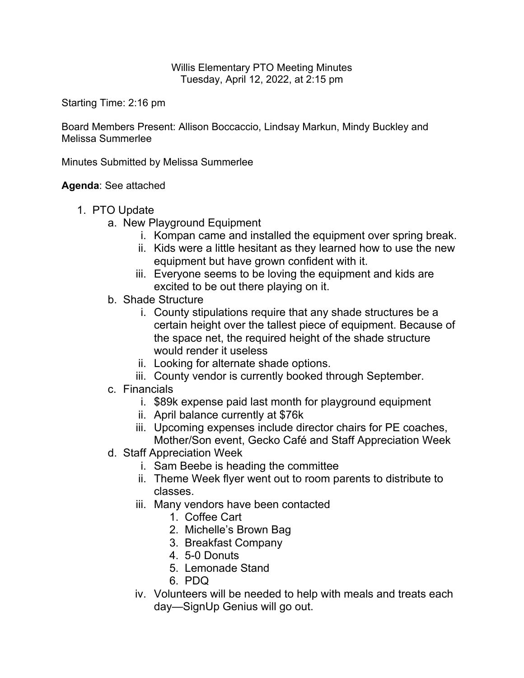Willis Elementary PTO Meeting Minutes Tuesday, April 12, 2022, at 2:15 pm

Starting Time: 2:16 pm

Board Members Present: Allison Boccaccio, Lindsay Markun, Mindy Buckley and Melissa Summerlee

Minutes Submitted by Melissa Summerlee

**Agenda**: See attached

- 1. PTO Update
	- a. New Playground Equipment
		- i. Kompan came and installed the equipment over spring break.
		- ii. Kids were a little hesitant as they learned how to use the new equipment but have grown confident with it.
		- iii. Everyone seems to be loving the equipment and kids are excited to be out there playing on it.
	- b. Shade Structure
		- i. County stipulations require that any shade structures be a certain height over the tallest piece of equipment. Because of the space net, the required height of the shade structure would render it useless
		- ii. Looking for alternate shade options.
		- iii. County vendor is currently booked through September.
	- c. Financials
		- i. \$89k expense paid last month for playground equipment
		- ii. April balance currently at \$76k
		- iii. Upcoming expenses include director chairs for PE coaches, Mother/Son event, Gecko Café and Staff Appreciation Week
	- d. Staff Appreciation Week
		- i. Sam Beebe is heading the committee
		- ii. Theme Week flyer went out to room parents to distribute to classes.
		- iii. Many vendors have been contacted
			- 1. Coffee Cart
			- 2. Michelle's Brown Bag
			- 3. Breakfast Company
			- 4. 5-0 Donuts
			- 5. Lemonade Stand
			- 6. PDQ
		- iv. Volunteers will be needed to help with meals and treats each day—SignUp Genius will go out.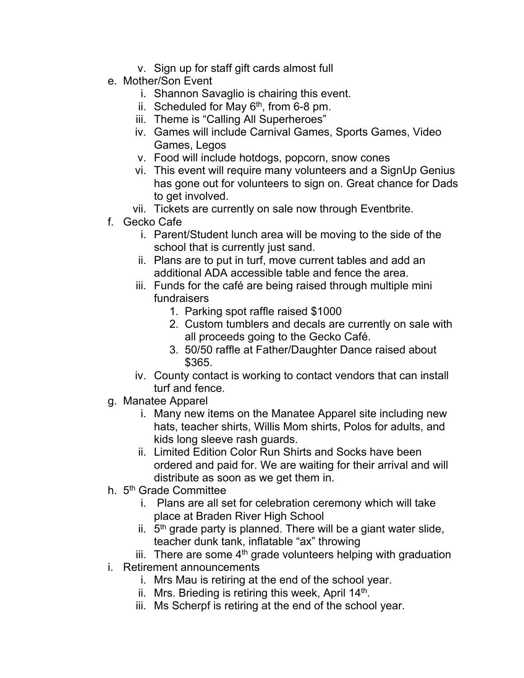- v. Sign up for staff gift cards almost full
- e. Mother/Son Event
	- i. Shannon Savaglio is chairing this event.
	- ii. Scheduled for May  $6<sup>th</sup>$ , from 6-8 pm.
	- iii. Theme is "Calling All Superheroes"
	- iv. Games will include Carnival Games, Sports Games, Video Games, Legos
	- v. Food will include hotdogs, popcorn, snow cones
	- vi. This event will require many volunteers and a SignUp Genius has gone out for volunteers to sign on. Great chance for Dads to get involved.
	- vii. Tickets are currently on sale now through Eventbrite.
- f. Gecko Cafe
	- i. Parent/Student lunch area will be moving to the side of the school that is currently just sand.
	- ii. Plans are to put in turf, move current tables and add an additional ADA accessible table and fence the area.
	- iii. Funds for the café are being raised through multiple mini fundraisers
		- 1. Parking spot raffle raised \$1000
		- 2. Custom tumblers and decals are currently on sale with all proceeds going to the Gecko Café.
		- 3. 50/50 raffle at Father/Daughter Dance raised about \$365.
	- iv. County contact is working to contact vendors that can install turf and fence.
- g. Manatee Apparel
	- i. Many new items on the Manatee Apparel site including new hats, teacher shirts, Willis Mom shirts, Polos for adults, and kids long sleeve rash guards.
	- ii. Limited Edition Color Run Shirts and Socks have been ordered and paid for. We are waiting for their arrival and will distribute as soon as we get them in.
- h. 5<sup>th</sup> Grade Committee
	- i. Plans are all set for celebration ceremony which will take place at Braden River High School
	- ii.  $5<sup>th</sup>$  grade party is planned. There will be a giant water slide, teacher dunk tank, inflatable "ax" throwing
	- iii. There are some  $4<sup>th</sup>$  grade volunteers helping with graduation
- i. Retirement announcements
	- i. Mrs Mau is retiring at the end of the school year.
	- ii. Mrs. Brieding is retiring this week, April  $14<sup>th</sup>$ .
	- iii. Ms Scherpf is retiring at the end of the school year.